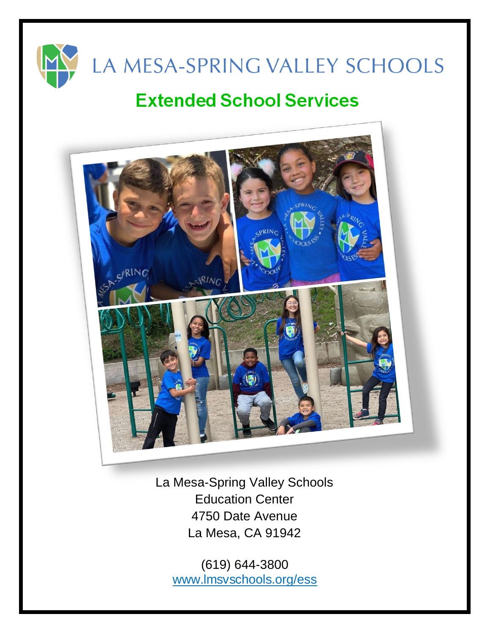

# **Extended School Services**



La Mesa-Spring Valley Schools Education Center 4750 Date Avenue La Mesa, CA 91942

(619) 644-3800 [www.lmsvschools.org/ess](http://www.lmsvschools.org/ess)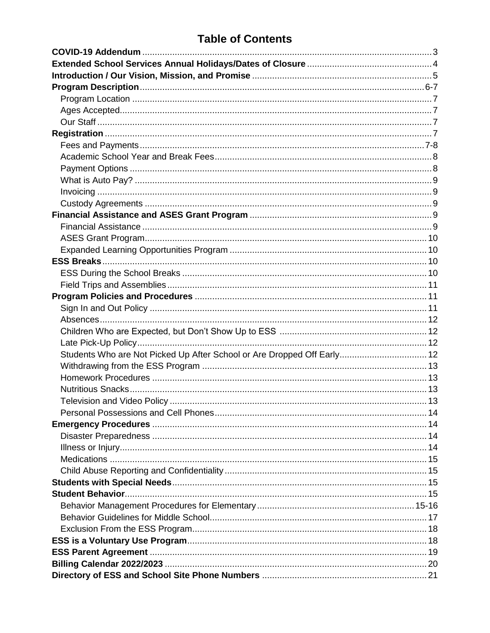## **Table of Contents**

| Students Who are Not Picked Up After School or Are Dropped Off Early 12 |  |
|-------------------------------------------------------------------------|--|
|                                                                         |  |
|                                                                         |  |
|                                                                         |  |
|                                                                         |  |
|                                                                         |  |
|                                                                         |  |
|                                                                         |  |
|                                                                         |  |
|                                                                         |  |
|                                                                         |  |
|                                                                         |  |
|                                                                         |  |
|                                                                         |  |
|                                                                         |  |
|                                                                         |  |
|                                                                         |  |
|                                                                         |  |
|                                                                         |  |
|                                                                         |  |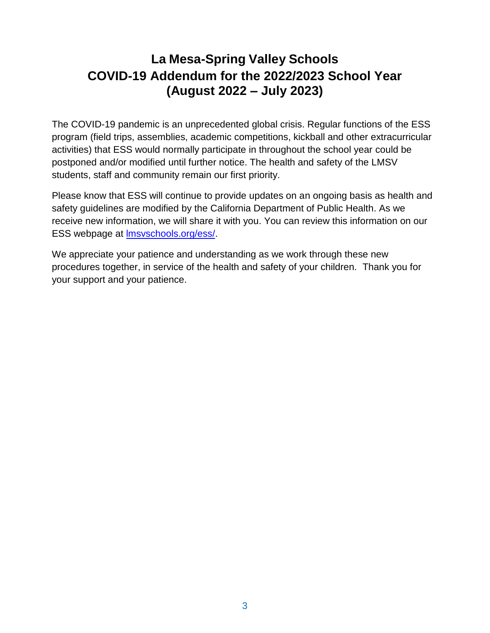# **La Mesa-Spring Valley Schools COVID-19 Addendum for the 2022/2023 School Year (August 2022 – July 2023)**

The COVID-19 pandemic is an unprecedented global crisis. Regular functions of the ESS program (field trips, assemblies, academic competitions, kickball and other extracurricular activities) that ESS would normally participate in throughout the school year could be postponed and/or modified until further notice. The health and safety of the LMSV students, staff and community remain our first priority.

Please know that ESS will continue to provide updates on an ongoing basis as health and safety guidelines are modified by the California Department of Public Health. As we receive new information, we will share it with you. You can review this information on our ESS webpage at [lmsvschools.org/ess/.](https://www.lmsvschools.org/ess/)

We appreciate your patience and understanding as we work through these new procedures together, in service of the health and safety of your children. Thank you for your support and your patience.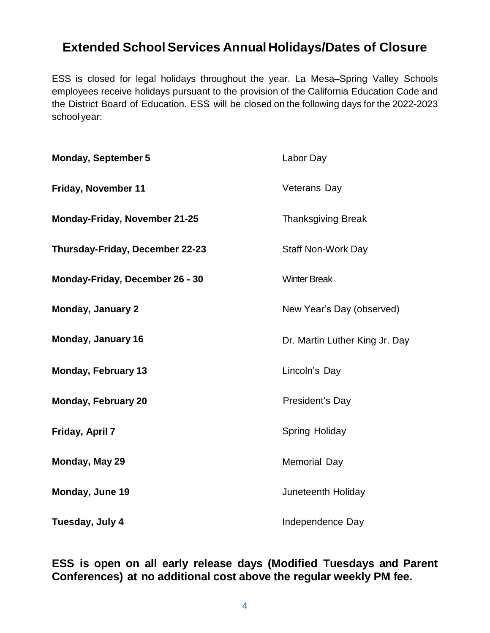### **Extended School Services Annual Holidays/Dates of Closure**

ESS is closed for legal holidays throughout the year. La Mesa–Spring Valley Schools employees receive holidays pursuant to the provision of the California Education Code and the District Board of Education. ESS will be closed on the following days for the 2022-2023 school year:

| <b>Monday, September 5</b>           | Labor Day                      |
|--------------------------------------|--------------------------------|
| Friday, November 11                  | <b>Veterans Day</b>            |
| <b>Monday-Friday, November 21-25</b> | <b>Thanksgiving Break</b>      |
| Thursday-Friday, December 22-23      | <b>Staff Non-Work Day</b>      |
| Monday-Friday, December 26 - 30      | <b>Winter Break</b>            |
| <b>Monday, January 2</b>             | New Year's Day (observed)      |
| <b>Monday, January 16</b>            | Dr. Martin Luther King Jr. Day |
| <b>Monday, February 13</b>           | Lincoln's Day                  |
| <b>Monday, February 20</b>           | President's Day                |
| Friday, April 7                      | Spring Holiday                 |
| Monday, May 29                       | <b>Memorial Day</b>            |
| Monday, June 19                      | Juneteenth Holiday             |
| Tuesday, July 4                      | Independence Day               |

### **ESS is open on all early release days (Modified Tuesdays and Parent Conferences) at no additional cost above the regular weekly PM fee.**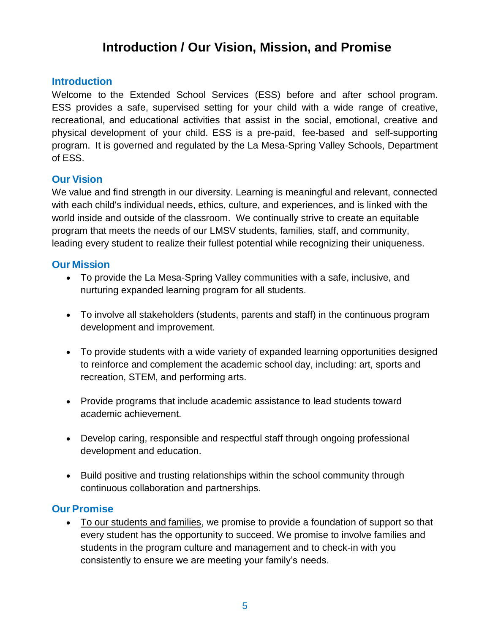## **Introduction / Our Vision, Mission, and Promise**

#### **Introduction**

Welcome to the Extended School Services (ESS) before and after school program. ESS provides a safe, supervised setting for your child with a wide range of creative, recreational, and educational activities that assist in the social, emotional, creative and physical development of your child. ESS is a pre-paid, fee-based and self-supporting program. It is governed and regulated by the La Mesa-Spring Valley Schools, Department of ESS.

#### **Our Vision**

We value and find strength in our diversity. Learning is meaningful and relevant, connected with each child's individual needs, ethics, culture, and experiences, and is linked with the world inside and outside of the classroom. We continually strive to create an equitable program that meets the needs of our LMSV students, families, staff, and community, leading every student to realize their fullest potential while recognizing their uniqueness.

#### **Our Mission**

- To provide the La Mesa-Spring Valley communities with a safe, inclusive, and nurturing expanded learning program for all students.
- To involve all stakeholders (students, parents and staff) in the continuous program development and improvement.
- To provide students with a wide variety of expanded learning opportunities designed to reinforce and complement the academic school day, including: art, sports and recreation, STEM, and performing arts.
- Provide programs that include academic assistance to lead students toward academic achievement.
- Develop caring, responsible and respectful staff through ongoing professional development and education.
- Build positive and trusting relationships within the school community through continuous collaboration and partnerships.

#### **Our Promise**

• To our students and families, we promise to provide a foundation of support so that every student has the opportunity to succeed. We promise to involve families and students in the program culture and management and to check-in with you consistently to ensure we are meeting your family's needs.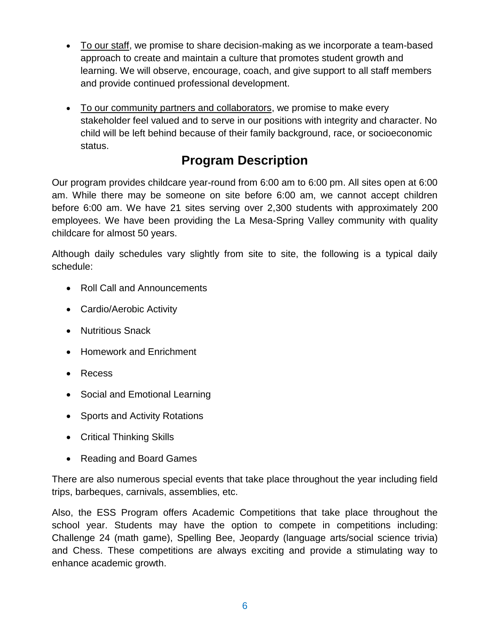- To our staff, we promise to share decision-making as we incorporate a team-based approach to create and maintain a culture that promotes student growth and learning. We will observe, encourage, coach, and give support to all staff members and provide continued professional development.
- To our community partners and collaborators, we promise to make every stakeholder feel valued and to serve in our positions with integrity and character. No child will be left behind because of their family background, race, or socioeconomic status.

# **Program Description**

Our program provides childcare year-round from 6:00 am to 6:00 pm. All sites open at 6:00 am. While there may be someone on site before 6:00 am, we cannot accept children before 6:00 am. We have 21 sites serving over 2,300 students with approximately 200 employees. We have been providing the La Mesa-Spring Valley community with quality childcare for almost 50 years.

Although daily schedules vary slightly from site to site, the following is a typical daily schedule:

- Roll Call and Announcements
- Cardio/Aerobic Activity
- Nutritious Snack
- Homework and Enrichment
- Recess
- Social and Emotional Learning
- Sports and Activity Rotations
- Critical Thinking Skills
- Reading and Board Games

There are also numerous special events that take place throughout the year including field trips, barbeques, carnivals, assemblies, etc.

Also, the ESS Program offers Academic Competitions that take place throughout the school year. Students may have the option to compete in competitions including: Challenge 24 (math game), Spelling Bee, Jeopardy (language arts/social science trivia) and Chess. These competitions are always exciting and provide a stimulating way to enhance academic growth.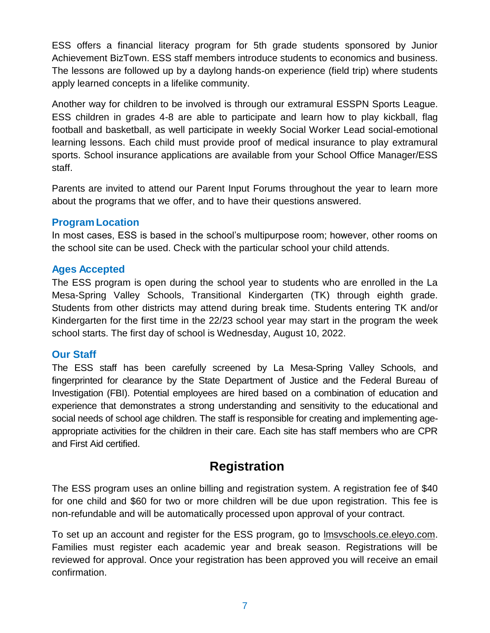ESS offers a financial literacy program for 5th grade students sponsored by Junior Achievement BizTown. ESS staff members introduce students to economics and business. The lessons are followed up by a daylong hands-on experience (field trip) where students apply learned concepts in a lifelike community.

Another way for children to be involved is through our extramural ESSPN Sports League. ESS children in grades 4-8 are able to participate and learn how to play kickball, flag football and basketball, as well participate in weekly Social Worker Lead social-emotional learning lessons. Each child must provide proof of medical insurance to play extramural sports. School insurance applications are available from your School Office Manager/ESS staff.

Parents are invited to attend our Parent Input Forums throughout the year to learn more about the programs that we offer, and to have their questions answered.

#### **ProgramLocation**

In most cases, ESS is based in the school's multipurpose room; however, other rooms on the school site can be used. Check with the particular school your child attends.

#### **Ages Accepted**

The ESS program is open during the school year to students who are enrolled in the La Mesa-Spring Valley Schools, Transitional Kindergarten (TK) through eighth grade. Students from other districts may attend during break time. Students entering TK and/or Kindergarten for the first time in the 22/23 school year may start in the program the week school starts. The first day of school is Wednesday, August 10, 2022.

#### **Our Staff**

The ESS staff has been carefully screened by La Mesa-Spring Valley Schools, and fingerprinted for clearance by the State Department of Justice and the Federal Bureau of Investigation (FBI). Potential employees are hired based on a combination of education and experience that demonstrates a strong understanding and sensitivity to the educational and social needs of school age children. The staff is responsible for creating and implementing ageappropriate activities for the children in their care. Each site has staff members who are CPR and First Aid certified.

### **Registration**

The ESS program uses an online billing and registration system. A registration fee of \$40 for one child and \$60 for two or more children will be due upon registration. This fee is non-refundable and will be automatically processed upon approval of your contract.

To set up an account and register for the ESS program, go to [lmsvschools.ce.eleyo.com.](https://lmsvschools.ce.eleyo.com/) Families must register each academic year and break season. Registrations will be reviewed for approval. Once your registration has been approved you will receive an email confirmation.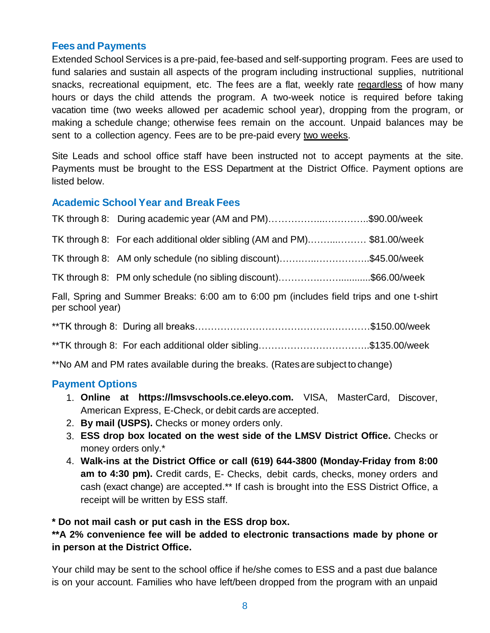#### **Fees and Payments**

Extended School Services is a pre-paid, fee-based and self-supporting program. Fees are used to fund salaries and sustain all aspects of the program including instructional supplies, nutritional snacks, recreational equipment, etc. The fees are a flat, weekly rate regardless of how many hours or days the child attends the program. A two-week notice is required before taking vacation time (two weeks allowed per academic school year), dropping from the program, or making a schedule change; otherwise fees remain on the account. Unpaid balances may be sent to a collection agency. Fees are to be pre-paid every two weeks.

Site Leads and school office staff have been instructed not to accept payments at the site. Payments must be brought to the ESS Department at the District Office. Payment options are listed below.

#### **Academic School Year and Break Fees**

|                                                                                                              | TK through 8: During academic year (AM and PM)\$90.00/week              |  |  |
|--------------------------------------------------------------------------------------------------------------|-------------------------------------------------------------------------|--|--|
|                                                                                                              | TK through 8: For each additional older sibling (AM and PM)\$81.00/week |  |  |
|                                                                                                              | TK through 8: AM only schedule (no sibling discount)\$45.00/week        |  |  |
|                                                                                                              | TK through 8: PM only schedule (no sibling discount)\$66.00/week        |  |  |
| Fall, Spring and Summer Breaks: 6:00 am to 6:00 pm (includes field trips and one t-shirt<br>per school year) |                                                                         |  |  |
|                                                                                                              |                                                                         |  |  |
|                                                                                                              | **TK through 8: For each additional older sibling\$135.00/week          |  |  |

\*\*No AM and PM rates available during the breaks. (Ratesare subject to change)

#### **Payment Options**

- 1. **Online at https://lmsvschools.ce.eleyo.com.** VISA, MasterCard, Discover, American Express, E-Check, or debit cards are accepted.
- 2. **By mail (USPS).** Checks or money orders only.
- 3. **ESS drop box located on the west side of the LMSV District Office.** Checks or money orders only.\*
- 4. **Walk-ins at the District Office or call (619) 644-3800 (Monday-Friday from 8:00 am to 4:30 pm).** Credit cards, E- Checks, debit cards, checks, money orders and cash (exact change) are accepted.\*\* If cash is brought into the ESS District Office, a receipt will be written by ESS staff.

#### **\* Do not mail cash or put cash in the ESS drop box.**

#### **\*\*A 2% convenience fee will be added to electronic transactions made by phone or in person at the District Office.**

Your child may be sent to the school office if he/she comes to ESS and a past due balance is on your account. Families who have left/been dropped from the program with an unpaid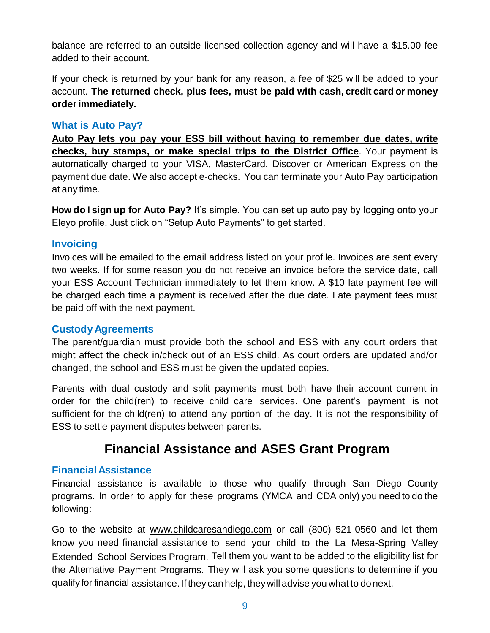balance are referred to an outside licensed collection agency and will have a \$15.00 fee added to their account.

If your check is returned by your bank for any reason, a fee of \$25 will be added to your account. **The returned check, plus fees, must be paid with cash, credit card or money orderimmediately.**

#### **What is Auto Pay?**

**Auto Pay lets you pay your ESS bill without having to remember due dates, write checks, buy stamps, or make special trips to the District Office**. Your payment is automatically charged to your VISA, MasterCard, Discover or American Express on the payment due date. We also accept e-checks. You can terminate your Auto Pay participation at any time.

**How do I sign up for Auto Pay?** It's simple. You can set up auto pay by logging onto your Eleyo profile. Just click on "Setup Auto Payments" to get started.

#### **Invoicing**

Invoices will be emailed to the email address listed on your profile. Invoices are sent every two weeks. If for some reason you do not receive an invoice before the service date, call your ESS Account Technician immediately to let them know. A \$10 late payment fee will be charged each time a payment is received after the due date. Late payment fees must be paid off with the next payment.

#### **Custody Agreements**

The parent/guardian must provide both the school and ESS with any court orders that might affect the check in/check out of an ESS child. As court orders are updated and/or changed, the school and ESS must be given the updated copies.

Parents with dual custody and split payments must both have their account current in order for the child(ren) to receive child care services. One parent's payment is not sufficient for the child(ren) to attend any portion of the day. It is not the responsibility of ESS to settle payment disputes between parents.

### **Financial Assistance and ASES Grant Program**

#### **FinancialAssistance**

Financial assistance is available to those who qualify through San Diego County programs. In order to apply for these programs (YMCA and CDA only) you need to do the following:

Go to the website at [www.childcaresandiego.com](http://www.childcaresandiego.com/) or call (800) 521-0560 and let them know you need financial assistance to send your child to the La Mesa-Spring Valley Extended School Services Program. Tell them you want to be added to the eligibility list for the Alternative Payment Programs. They will ask you some questions to determine if you qualify for financial assistance. If they can help, theywill advise you what to do next.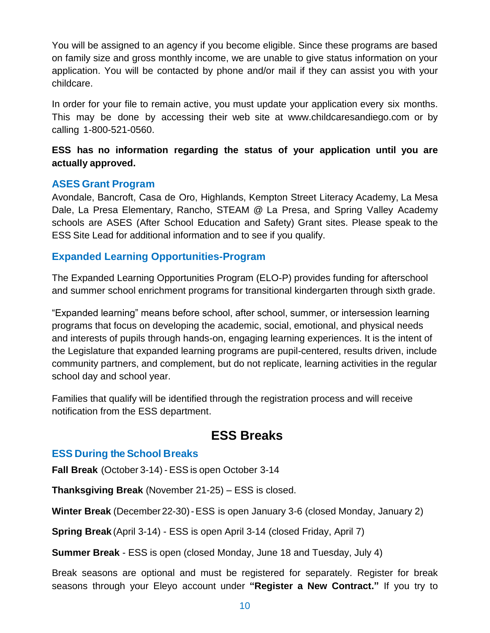You will be assigned to an agency if you become eligible. Since these programs are based on family size and gross monthly income, we are unable to give status information on your application. You will be contacted by phone and/or mail if they can assist you with your childcare.

In order for your file to remain active, you must update your application every six months. This may be done by accessing their web site at [www.childcaresandiego.co](http://www.childcaresandiego.com/)m or by calling 1-800-521-0560.

#### **ESS has no information regarding the status of your application until you are actually approved.**

#### **ASES Grant Program**

Avondale, Bancroft, Casa de Oro, Highlands, Kempton Street Literacy Academy, La Mesa Dale, La Presa Elementary, Rancho, STEAM @ La Presa, and Spring Valley Academy schools are ASES (After School Education and Safety) Grant sites. Please speak to the ESS Site Lead for additional information and to see if you qualify.

#### **Expanded Learning Opportunities-Program**

The Expanded Learning Opportunities Program (ELO-P) provides funding for afterschool and summer school enrichment programs for transitional kindergarten through sixth grade.

"Expanded learning" means before school, after school, summer, or intersession learning programs that focus on developing the academic, social, emotional, and physical needs and interests of pupils through hands-on, engaging learning experiences. It is the intent of the Legislature that expanded learning programs are pupil-centered, results driven, include community partners, and complement, but do not replicate, learning activities in the regular school day and school year.

Families that qualify will be identified through the registration process and will receive notification from the ESS department.

### **ESS Breaks**

#### **ESS During the School Breaks**

**Fall Break** (October 3-14) - ESS is open October 3-14

**Thanksgiving Break** (November 21-25) – ESS is closed.

**Winter Break** (December22-30)-ESS is open January 3-6 (closed Monday, January 2)

**Spring Break** (April 3-14) - ESS is open April 3-14 (closed Friday, April 7)

**Summer Break** - ESS is open (closed Monday, June 18 and Tuesday, July 4)

Break seasons are optional and must be registered for separately. Register for break seasons through your Eleyo account under **"Register a New Contract."** If you try to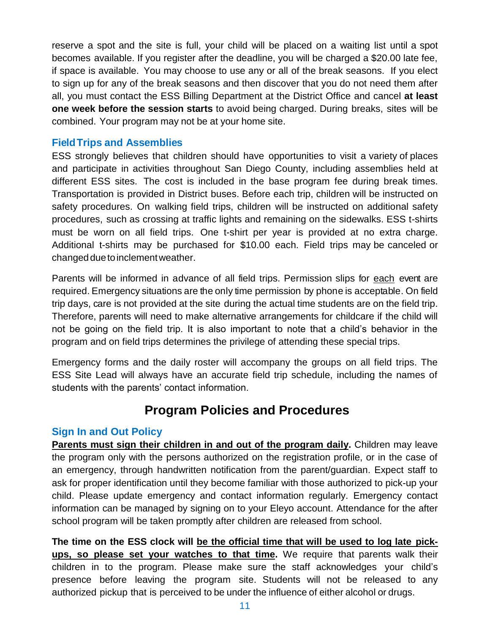reserve a spot and the site is full, your child will be placed on a waiting list until a spot becomes available. If you register after the deadline, you will be charged a \$20.00 late fee, if space is available. You may choose to use any or all of the break seasons. If you elect to sign up for any of the break seasons and then discover that you do not need them after all, you must contact the ESS Billing Department at the District Office and cancel **at least one week before the session starts** to avoid being charged. During breaks, sites will be combined. Your program may not be at your home site.

#### **FieldTrips and Assemblies**

ESS strongly believes that children should have opportunities to visit a variety of places and participate in activities throughout San Diego County, including assemblies held at different ESS sites. The cost is included in the base program fee during break times. Transportation is provided in District buses. Before each trip, children will be instructed on safety procedures. On walking field trips, children will be instructed on additional safety procedures, such as crossing at traffic lights and remaining on the sidewalks. ESS t-shirts must be worn on all field trips. One t-shirt per year is provided at no extra charge. Additional t-shirts may be purchased for \$10.00 each. Field trips may be canceled or changedduetoinclementweather.

Parents will be informed in advance of all field trips. Permission slips for each event are required. Emergency situations are the only time permission by phone is acceptable. On field trip days, care is not provided at the site during the actual time students are on the field trip. Therefore, parents will need to make alternative arrangements for childcare if the child will not be going on the field trip. It is also important to note that a child's behavior in the program and on field trips determines the privilege of attending these special trips.

Emergency forms and the daily roster will accompany the groups on all field trips. The ESS Site Lead will always have an accurate field trip schedule, including the names of students with the parents' contact information.

### **Program Policies and Procedures**

#### **Sign In and Out Policy**

**Parents must sign their children in and out of the program daily.** Children may leave the program only with the persons authorized on the registration profile, or in the case of an emergency, through handwritten notification from the parent/guardian. Expect staff to ask for proper identification until they become familiar with those authorized to pick-up your child. Please update emergency and contact information regularly. Emergency contact information can be managed by signing on to your Eleyo account. Attendance for the after school program will be taken promptly after children are released from school.

**The time on the ESS clock will be the official time that will be used to log late pickups, so please set your watches to that time.** We require that parents walk their children in to the program. Please make sure the staff acknowledges your child's presence before leaving the program site. Students will not be released to any authorized pickup that is perceived to be under the influence of either alcohol or drugs.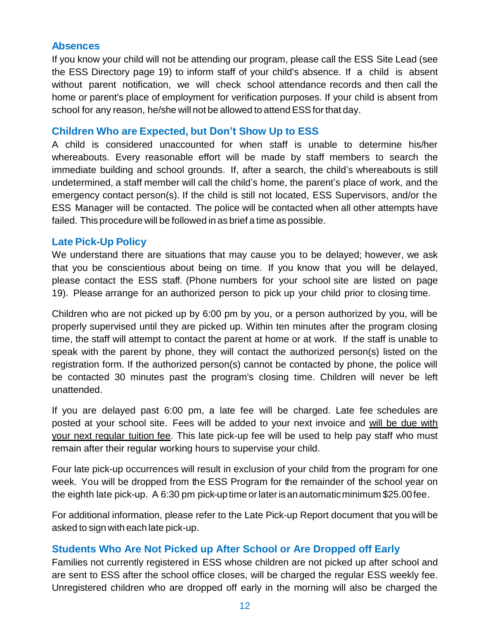#### **Absences**

If you know your child will not be attending our program, please call the ESS Site Lead (see the ESS Directory page 19) to inform staff of your child's absence. If a child is absent without parent notification, we will check school attendance records and then call the home or parent's place of employment for verification purposes. If your child is absent from school for any reason, he/she will not be allowed to attend ESS for that day.

#### **Children Who are Expected, but Don't Show Up to ESS**

A child is considered unaccounted for when staff is unable to determine his/her whereabouts. Every reasonable effort will be made by staff members to search the immediate building and school grounds. If, after a search, the child's whereabouts is still undetermined, a staff member will call the child's home, the parent's place of work, and the emergency contact person(s). If the child is still not located, ESS Supervisors, and/or the ESS Manager will be contacted. The police will be contacted when all other attempts have failed. This procedure will be followed in as brief a time as possible.

#### **Late Pick-Up Policy**

We understand there are situations that may cause you to be delayed; however, we ask that you be conscientious about being on time. If you know that you will be delayed, please contact the ESS staff. (Phone numbers for your school site are listed on page 19). Please arrange for an authorized person to pick up your child prior to closing time.

Children who are not picked up by 6:00 pm by you, or a person authorized by you, will be properly supervised until they are picked up. Within ten minutes after the program closing time, the staff will attempt to contact the parent at home or at work. If the staff is unable to speak with the parent by phone, they will contact the authorized person(s) listed on the registration form. If the authorized person(s) cannot be contacted by phone, the police will be contacted 30 minutes past the program's closing time. Children will never be left unattended.

If you are delayed past 6:00 pm, a late fee will be charged. Late fee schedules are posted at your school site. Fees will be added to your next invoice and will be due with your next regular tuition fee. This late pick-up fee will be used to help pay staff who must remain after their regular working hours to supervise your child.

Four late pick-up occurrences will result in exclusion of your child from the program for one week. You will be dropped from the ESS Program for the remainder of the school year on the eighth late pick-up. A 6:30 pm pick-up time orlateris anautomaticminimum \$25.00fee.

For additional information, please refer to the Late Pick-up Report document that you will be asked to sign with each late pick-up.

#### **Students Who Are Not Picked up After School or Are Dropped off Early**

Families not currently registered in ESS whose children are not picked up after school and are sent to ESS after the school office closes, will be charged the regular ESS weekly fee. Unregistered children who are dropped off early in the morning will also be charged the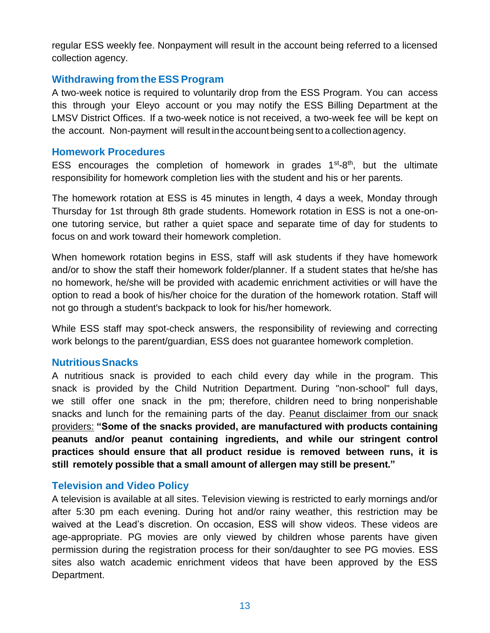regular ESS weekly fee. Nonpayment will result in the account being referred to a licensed collection agency.

#### **Withdrawing from the ESS Program**

A two-week notice is required to voluntarily drop from the ESS Program. You can access this through your Eleyo account or you may notify the ESS Billing Department at the LMSV District Offices. If a two-week notice is not received, a two-week fee will be kept on the account. Non-payment will result inthe account being sent to a collectionagency.

#### **Homework Procedures**

ESS encourages the completion of homework in grades  $1<sup>st</sup>-8<sup>th</sup>$ , but the ultimate responsibility for homework completion lies with the student and his or her parents.

The homework rotation at ESS is 45 minutes in length, 4 days a week, Monday through Thursday for 1st through 8th grade students. Homework rotation in ESS is not a one-onone tutoring service, but rather a quiet space and separate time of day for students to focus on and work toward their homework completion.

When homework rotation begins in ESS, staff will ask students if they have homework and/or to show the staff their homework folder/planner. If a student states that he/she has no homework, he/she will be provided with academic enrichment activities or will have the option to read a book of his/her choice for the duration of the homework rotation. Staff will not go through a student's backpack to look for his/her homework.

While ESS staff may spot-check answers, the responsibility of reviewing and correcting work belongs to the parent/guardian, ESS does not guarantee homework completion.

#### **NutritiousSnacks**

A nutritious snack is provided to each child every day while in the program. This snack is provided by the Child Nutrition Department. During "non-school" full days, we still offer one snack in the pm; therefore, children need to bring nonperishable snacks and lunch for the remaining parts of the day. Peanut disclaimer from our snack providers: **"Some of the snacks provided, are manufactured with products containing peanuts and/or peanut containing ingredients, and while our stringent control practices should ensure that all product residue is removed between runs, it is still remotely possible that a small amount of allergen may still be present."**

#### **Television and Video Policy**

A television is available at all sites. Television viewing is restricted to early mornings and/or after 5:30 pm each evening. During hot and/or rainy weather, this restriction may be waived at the Lead's discretion. On occasion, ESS will show videos. These videos are age-appropriate. PG movies are only viewed by children whose parents have given permission during the registration process for their son/daughter to see PG movies. ESS sites also watch academic enrichment videos that have been approved by the ESS Department.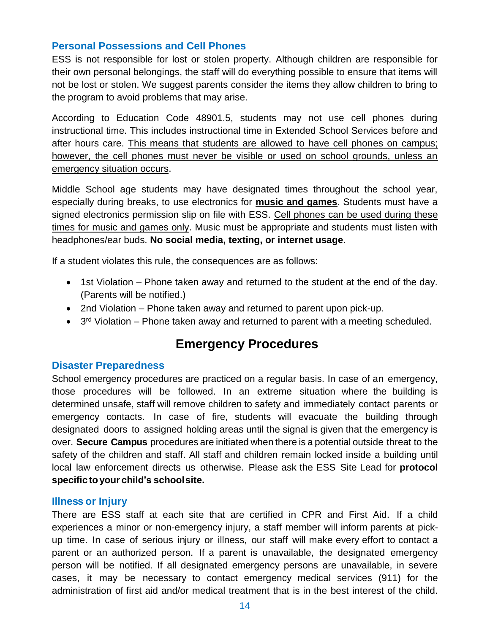#### **Personal Possessions and Cell Phones**

ESS is not responsible for lost or stolen property. Although children are responsible for their own personal belongings, the staff will do everything possible to ensure that items will not be lost or stolen. We suggest parents consider the items they allow children to bring to the program to avoid problems that may arise.

According to Education Code 48901.5, students may not use cell phones during instructional time. This includes instructional time in Extended School Services before and after hours care. This means that students are allowed to have cell phones on campus; however, the cell phones must never be visible or used on school grounds, unless an emergency situation occurs.

Middle School age students may have designated times throughout the school year, especially during breaks, to use electronics for **music and games**. Students must have a signed electronics permission slip on file with ESS. Cell phones can be used during these times for music and games only. Music must be appropriate and students must listen with headphones/ear buds. **No social media, texting, or internet usage**.

If a student violates this rule, the consequences are as follows:

- 1st Violation Phone taken away and returned to the student at the end of the day. (Parents will be notified.)
- 2nd Violation Phone taken away and returned to parent upon pick-up.
- $\bullet$  3<sup>rd</sup> Violation Phone taken away and returned to parent with a meeting scheduled.

### **Emergency Procedures**

#### **Disaster Preparedness**

School emergency procedures are practiced on a regular basis. In case of an emergency, those procedures will be followed. In an extreme situation where the building is determined unsafe, staff will remove children to safety and immediately contact parents or emergency contacts. In case of fire, students will evacuate the building through designated doors to assigned holding areas until the signal is given that the emergency is over. **Secure Campus** procedures are initiated when there is a potential outside threat to the safety of the children and staff. All staff and children remain locked inside a building until local law enforcement directs us otherwise. Please ask the ESS Site Lead for **protocol specific toyour child's schoolsite.**

#### **Illness or Injury**

There are ESS staff at each site that are certified in CPR and First Aid. If a child experiences a minor or non-emergency injury, a staff member will inform parents at pickup time. In case of serious injury or illness, our staff will make every effort to contact a parent or an authorized person. If a parent is unavailable, the designated emergency person will be notified. If all designated emergency persons are unavailable, in severe cases, it may be necessary to contact emergency medical services (911) for the administration of first aid and/or medical treatment that is in the best interest of the child.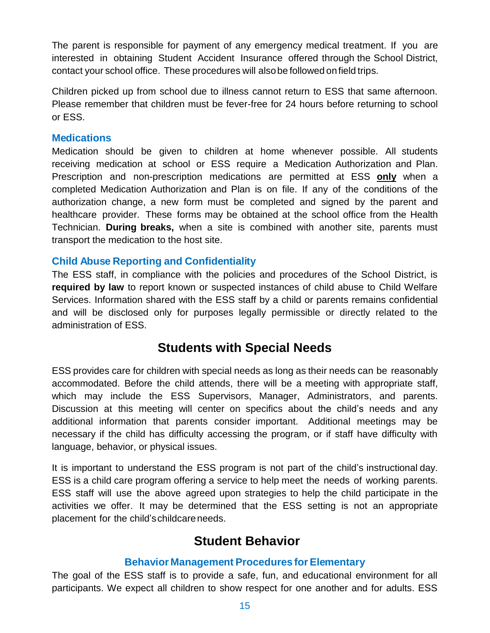The parent is responsible for payment of any emergency medical treatment. If you are interested in obtaining Student Accident Insurance offered through the School District, contact your school office. These procedures will alsobe followed onfield trips.

Children picked up from school due to illness cannot return to ESS that same afternoon. Please remember that children must be fever-free for 24 hours before returning to school or ESS.

#### **Medications**

Medication should be given to children at home whenever possible. All students receiving medication at school or ESS require a Medication Authorization and Plan. Prescription and non-prescription medications are permitted at ESS **only** when a completed Medication Authorization and Plan is on file. If any of the conditions of the authorization change, a new form must be completed and signed by the parent and healthcare provider. These forms may be obtained at the school office from the Health Technician. **During breaks,** when a site is combined with another site, parents must transport the medication to the host site.

#### **Child Abuse Reporting and Confidentiality**

The ESS staff, in compliance with the policies and procedures of the School District, is **required by law** to report known or suspected instances of child abuse to Child Welfare Services. Information shared with the ESS staff by a child or parents remains confidential and will be disclosed only for purposes legally permissible or directly related to the administration of ESS.

### **Students with Special Needs**

ESS provides care for children with special needs as long as their needs can be reasonably accommodated. Before the child attends, there will be a meeting with appropriate staff, which may include the ESS Supervisors, Manager, Administrators, and parents. Discussion at this meeting will center on specifics about the child's needs and any additional information that parents consider important. Additional meetings may be necessary if the child has difficulty accessing the program, or if staff have difficulty with language, behavior, or physical issues.

It is important to understand the ESS program is not part of the child's instructional day. ESS is a child care program offering a service to help meet the needs of working parents. ESS staff will use the above agreed upon strategies to help the child participate in the activities we offer. It may be determined that the ESS setting is not an appropriate placement for the child'schildcareneeds.

### **Student Behavior**

#### **Behavior Management Procedures for Elementary**

The goal of the ESS staff is to provide a safe, fun, and educational environment for all participants. We expect all children to show respect for one another and for adults. ESS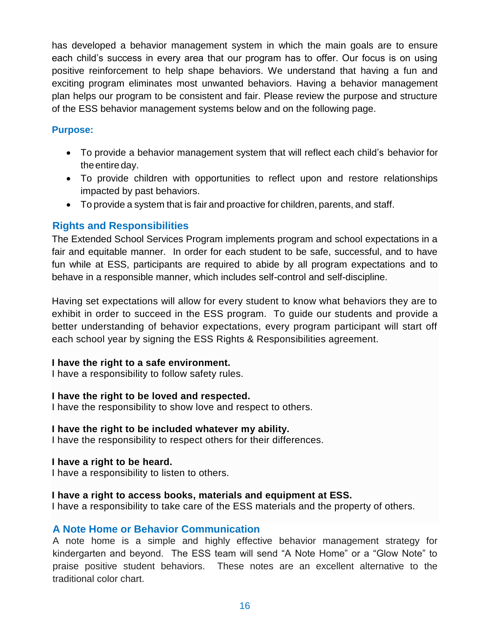has developed a behavior management system in which the main goals are to ensure each child's success in every area that our program has to offer. Our focus is on using positive reinforcement to help shape behaviors. We understand that having a fun and exciting program eliminates most unwanted behaviors. Having a behavior management plan helps our program to be consistent and fair. Please review the purpose and structure of the ESS behavior management systems below and on the following page.

#### **Purpose:**

- To provide a behavior management system that will reflect each child's behavior for the entire day.
- To provide children with opportunities to reflect upon and restore relationships impacted by past behaviors.
- To provide a system that is fair and proactive for children, parents, and staff.

#### **Rights and Responsibilities**

The Extended School Services Program implements program and school expectations in a fair and equitable manner. In order for each student to be safe, successful, and to have fun while at ESS, participants are required to abide by all program expectations and to behave in a responsible manner, which includes self-control and self-discipline.

Having set expectations will allow for every student to know what behaviors they are to exhibit in order to succeed in the ESS program. To guide our students and provide a better understanding of behavior expectations, every program participant will start off each school year by signing the ESS Rights & Responsibilities agreement.

#### **I have the right to a safe environment.**

I have a responsibility to follow safety rules.

#### **I have the right to be loved and respected.**

I have the responsibility to show love and respect to others.

#### **I have the right to be included whatever my ability.**

I have the responsibility to respect others for their differences.

#### **I have a right to be heard.**

I have a responsibility to listen to others.

#### **I have a right to access books, materials and equipment at ESS.**

I have a responsibility to take care of the ESS materials and the property of others.

#### **A Note Home or Behavior Communication**

A note home is a simple and highly effective behavior management strategy for kindergarten and beyond. The ESS team will send "A Note Home" or a "Glow Note" to praise positive student behaviors. These notes are an excellent alternative to the traditional color chart.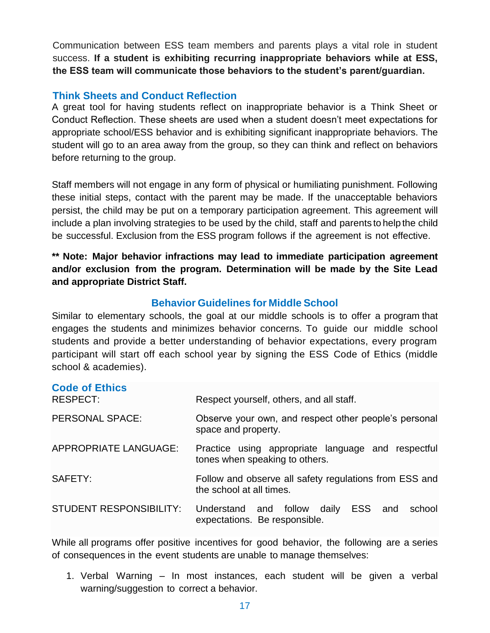Communication between ESS team members and parents plays a vital role in student success. **If a student is exhibiting recurring inappropriate behaviors while at ESS, the ESS team will communicate those behaviors to the student's parent/guardian.**

#### **Think Sheets and Conduct Reflection**

A great tool for having students reflect on inappropriate behavior is a Think Sheet or Conduct Reflection. These sheets are used when a student doesn't meet expectations for appropriate school/ESS behavior and is exhibiting significant inappropriate behaviors. The student will go to an area away from the group, so they can think and reflect on behaviors before returning to the group.

Staff members will not engage in any form of physical or humiliating punishment. Following these initial steps, contact with the parent may be made. If the unacceptable behaviors persist, the child may be put on a temporary participation agreement. This agreement will include a plan involving strategies to be used by the child, staff and parents to help the child be successful. Exclusion from the ESS program follows if the agreement is not effective.

**\*\* Note: Major behavior infractions may lead to immediate participation agreement and/or exclusion from the program. Determination will be made by the Site Lead and appropriate District Staff.**

#### **Behavior Guidelines for Middle School**

Similar to elementary schools, the goal at our middle schools is to offer a program that engages the students and minimizes behavior concerns. To guide our middle school students and provide a better understanding of behavior expectations, every program participant will start off each school year by signing the ESS Code of Ethics (middle school & academies).

| <b>Code of Ethics</b><br>RESPECT: | Respect yourself, others, and all staff.                                             |  |  |
|-----------------------------------|--------------------------------------------------------------------------------------|--|--|
| PERSONAL SPACE:                   | Observe your own, and respect other people's personal<br>space and property.         |  |  |
| <b>APPROPRIATE LANGUAGE:</b>      | Practice using appropriate language and respectful<br>tones when speaking to others. |  |  |
| SAFETY:                           | Follow and observe all safety regulations from ESS and<br>the school at all times.   |  |  |
| <b>STUDENT RESPONSIBILITY:</b>    | Understand and follow daily<br>ESS and<br>school<br>expectations. Be responsible.    |  |  |

While all programs offer positive incentives for good behavior, the following are a series of consequences in the event students are unable to manage themselves:

1. Verbal Warning – In most instances, each student will be given a verbal warning/suggestion to correct a behavior.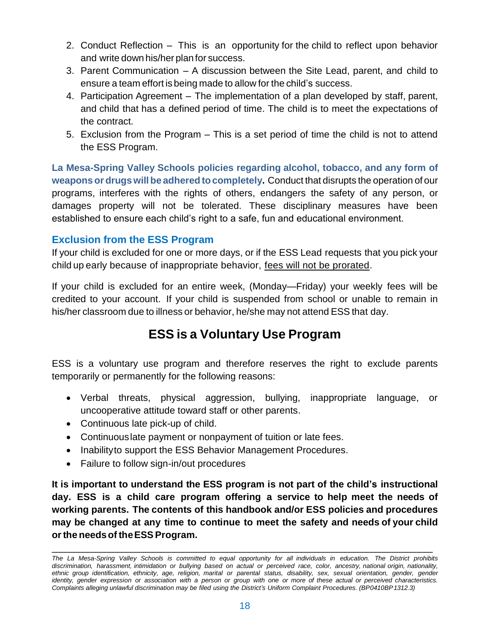- 2. Conduct Reflection This is an opportunity for the child to reflect upon behavior and write down his/her planfor success.
- 3. Parent Communication A discussion between the Site Lead, parent, and child to ensure a team effort is being made to allow for the child's success.
- 4. Participation Agreement The implementation of a plan developed by staff, parent, and child that has a defined period of time. The child is to meet the expectations of the contract.
- 5. Exclusion from the Program This is a set period of time the child is not to attend the ESS Program.

**La Mesa-Spring Valley Schools policies regarding alcohol, tobacco, and any form of weapons or drugs will be adhered to completely. Conduct that disrupts the operation of our** programs, interferes with the rights of others, endangers the safety of any person, or damages property will not be tolerated. These disciplinary measures have been established to ensure each child's right to a safe, fun and educational environment.

#### **Exclusion from the ESS Program**

If your child is excluded for one or more days, or if the ESS Lead requests that you pick your child up early because of inappropriate behavior, fees will not be prorated.

If your child is excluded for an entire week, (Monday—Friday) your weekly fees will be credited to your account. If your child is suspended from school or unable to remain in his/her classroom due to illness or behavior, he/she may not attend ESS that day.

## **ESS is a Voluntary Use Program**

ESS is a voluntary use program and therefore reserves the right to exclude parents temporarily or permanently for the following reasons:

- Verbal threats, physical aggression, bullying, inappropriate language, or uncooperative attitude toward staff or other parents.
- Continuous late pick-up of child.
- Continuouslate payment or nonpayment of tuition or late fees.
- Inabilityto support the ESS Behavior Management Procedures.
- Failure to follow sign-in/out procedures

**It is important to understand the ESS program is not part of the child's instructional day. ESS is a child care program offering a service to help meet the needs of working parents. The contents of this handbook and/or ESS policies and procedures may be changed at any time to continue to meet the safety and needs of your child orthe needsof theESSProgram.**

 $\_$  . The contribution of the contribution of the contribution of the contribution of the contribution of  $\mathcal{L}_\text{max}$ 

The La Mesa-Spring Valley Schools is committed to equal opportunity for all individuals in education. The District prohibits discrimination, harassment, intimidation or bullying based on actual or perceived race, color, ancestry, national origin, nationality, ethnic group identification, ethnicity, age, religion, marital or parental status, disability, sex, sexual orientation, gender, gender identity, gender expression or association with a person or group with one or more of these actual or perceived characteristics. *Complaints alleging unlawful discrimination may be filed using the District's Uniform Complaint Procedures. (BP0410BP1312.3)*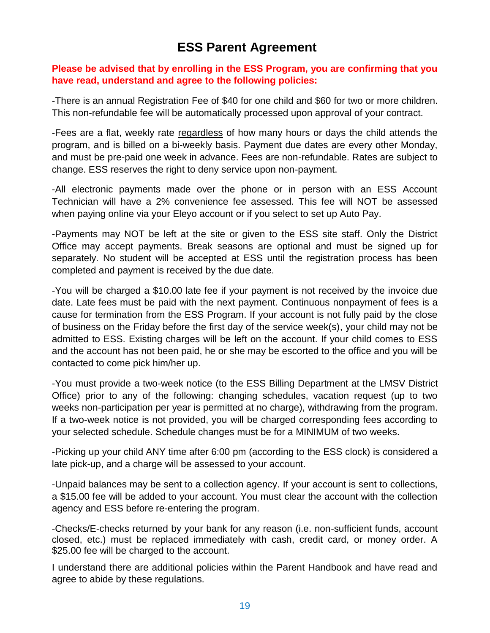### **ESS Parent Agreement**

#### **Please be advised that by enrolling in the ESS Program, you are confirming that you have read, understand and agree to the following policies:**

-There is an annual Registration Fee of \$40 for one child and \$60 for two or more children. This non-refundable fee will be automatically processed upon approval of your contract.

-Fees are a flat, weekly rate regardless of how many hours or days the child attends the program, and is billed on a bi-weekly basis. Payment due dates are every other Monday, and must be pre-paid one week in advance. Fees are non-refundable. Rates are subject to change. ESS reserves the right to deny service upon non-payment.

-All electronic payments made over the phone or in person with an ESS Account Technician will have a 2% convenience fee assessed. This fee will NOT be assessed when paying online via your Eleyo account or if you select to set up Auto Pay.

-Payments may NOT be left at the site or given to the ESS site staff. Only the District Office may accept payments. Break seasons are optional and must be signed up for separately. No student will be accepted at ESS until the registration process has been completed and payment is received by the due date.

-You will be charged a \$10.00 late fee if your payment is not received by the invoice due date. Late fees must be paid with the next payment. Continuous nonpayment of fees is a cause for termination from the ESS Program. If your account is not fully paid by the close of business on the Friday before the first day of the service week(s), your child may not be admitted to ESS. Existing charges will be left on the account. If your child comes to ESS and the account has not been paid, he or she may be escorted to the office and you will be contacted to come pick him/her up.

-You must provide a two-week notice (to the ESS Billing Department at the LMSV District Office) prior to any of the following: changing schedules, vacation request (up to two weeks non-participation per year is permitted at no charge), withdrawing from the program. If a two-week notice is not provided, you will be charged corresponding fees according to your selected schedule. Schedule changes must be for a MINIMUM of two weeks.

-Picking up your child ANY time after 6:00 pm (according to the ESS clock) is considered a late pick-up, and a charge will be assessed to your account.

-Unpaid balances may be sent to a collection agency. If your account is sent to collections, a \$15.00 fee will be added to your account. You must clear the account with the collection agency and ESS before re-entering the program.

-Checks/E-checks returned by your bank for any reason (i.e. non-sufficient funds, account closed, etc.) must be replaced immediately with cash, credit card, or money order. A \$25.00 fee will be charged to the account.

I understand there are additional policies within the Parent Handbook and have read and agree to abide by these regulations.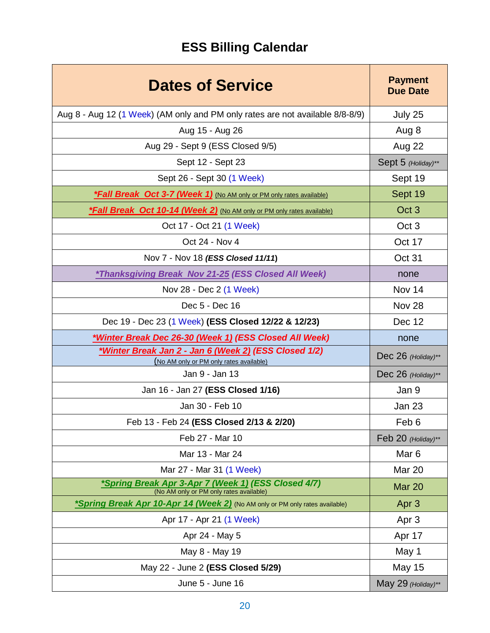# **ESS Billing Calendar**

| <b>Dates of Service</b>                                                                        | <b>Payment</b><br><b>Due Date</b> |
|------------------------------------------------------------------------------------------------|-----------------------------------|
| Aug 8 - Aug 12 (1 Week) (AM only and PM only rates are not available 8/8-8/9)                  | July 25                           |
| Aug 15 - Aug 26                                                                                | Aug 8                             |
| Aug 29 - Sept 9 (ESS Closed 9/5)                                                               | Aug 22                            |
| Sept 12 - Sept 23                                                                              | Sept 5 (Holiday)**                |
| Sept 26 - Sept 30 (1 Week)                                                                     | Sept 19                           |
| <b>*Fall Break Oct 3-7 (Week 1)</b> (No AM only or PM only rates available)                    | Sept 19                           |
| <b>*Fall Break Oct 10-14 (Week 2)</b> (No AM only or PM only rates available)                  | Oct <sub>3</sub>                  |
| Oct 17 - Oct 21 (1 Week)                                                                       | Oct <sub>3</sub>                  |
| Oct 24 - Nov 4                                                                                 | Oct 17                            |
| Nov 7 - Nov 18 (ESS Closed 11/11)                                                              | Oct 31                            |
| *Thanksgiving Break Nov 21-25 (ESS Closed All Week)                                            | none                              |
| Nov 28 - Dec 2 (1 Week)                                                                        | Nov 14                            |
| Dec 5 - Dec 16                                                                                 | Nov 28                            |
| Dec 19 - Dec 23 (1 Week) (ESS Closed 12/22 & 12/23)                                            | Dec 12                            |
| *Winter Break Dec 26-30 (Week 1) (ESS Closed All Week)                                         | none                              |
| *Winter Break Jan 2 - Jan 6 (Week 2) (ESS Closed 1/2)                                          | Dec 26 (Holiday)**                |
| (No AM only or PM only rates available)<br>Jan 9 - Jan 13                                      | Dec 26 (Holiday)**                |
| Jan 16 - Jan 27 (ESS Closed 1/16)                                                              | Jan 9                             |
| Jan 30 - Feb 10                                                                                | <b>Jan 23</b>                     |
| Feb 13 - Feb 24 (ESS Closed 2/13 & 2/20)                                                       | Feb 6                             |
| Feb 27 - Mar 10                                                                                | Feb 20 (Holiday)**                |
| Mar 13 - Mar 24                                                                                | Mar <sub>6</sub>                  |
| Mar 27 - Mar 31 (1 Week)                                                                       | Mar 20                            |
| *Spring Break Apr 3-Apr 7 (Week 1) (ESS Closed 4/7)<br>(No AM only or PM only rates available) | Mar 20                            |
| *Spring Break Apr 10-Apr 14 (Week 2) (No AM only or PM only rates available)                   | Apr <sub>3</sub>                  |
| Apr 17 - Apr 21 (1 Week)                                                                       | Apr <sub>3</sub>                  |
| Apr 24 - May 5                                                                                 | Apr 17                            |
| May 8 - May 19                                                                                 | May 1                             |
| May 22 - June 2 (ESS Closed 5/29)                                                              | <b>May 15</b>                     |
| June 5 - June 16                                                                               | May 29 (Holiday)**                |